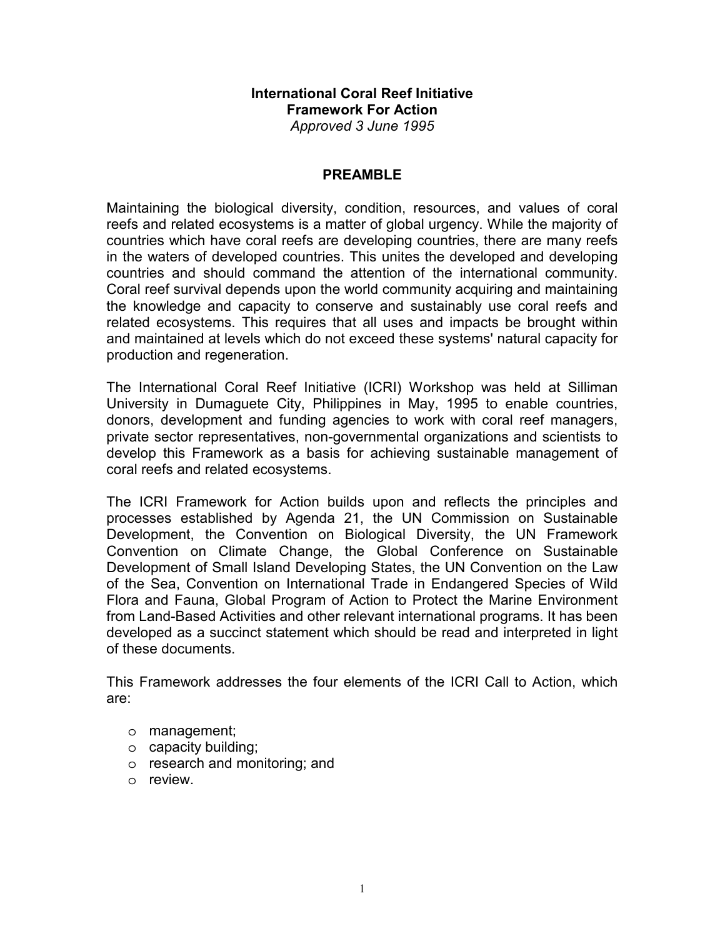## **International Coral Reef Initiative Framework For Action**  *Approved 3 June 1995*

## **PREAMBLE**

Maintaining the biological diversity, condition, resources, and values of coral reefs and related ecosystems is a matter of global urgency. While the majority of countries which have coral reefs are developing countries, there are many reefs in the waters of developed countries. This unites the developed and developing countries and should command the attention of the international community. Coral reef survival depends upon the world community acquiring and maintaining the knowledge and capacity to conserve and sustainably use coral reefs and related ecosystems. This requires that all uses and impacts be brought within and maintained at levels which do not exceed these systems' natural capacity for production and regeneration.

The International Coral Reef Initiative (ICRI) Workshop was held at Silliman University in Dumaguete City, Philippines in May, 1995 to enable countries, donors, development and funding agencies to work with coral reef managers, private sector representatives, non-governmental organizations and scientists to develop this Framework as a basis for achieving sustainable management of coral reefs and related ecosystems.

The ICRI Framework for Action builds upon and reflects the principles and processes established by Agenda 21, the UN Commission on Sustainable Development, the Convention on Biological Diversity, the UN Framework Convention on Climate Change, the Global Conference on Sustainable Development of Small Island Developing States, the UN Convention on the Law of the Sea, Convention on International Trade in Endangered Species of Wild Flora and Fauna, Global Program of Action to Protect the Marine Environment from Land-Based Activities and other relevant international programs. It has been developed as a succinct statement which should be read and interpreted in light of these documents.

This Framework addresses the four elements of the ICRI Call to Action, which are:

- o management;
- o capacity building;
- o research and monitoring; and
- o review.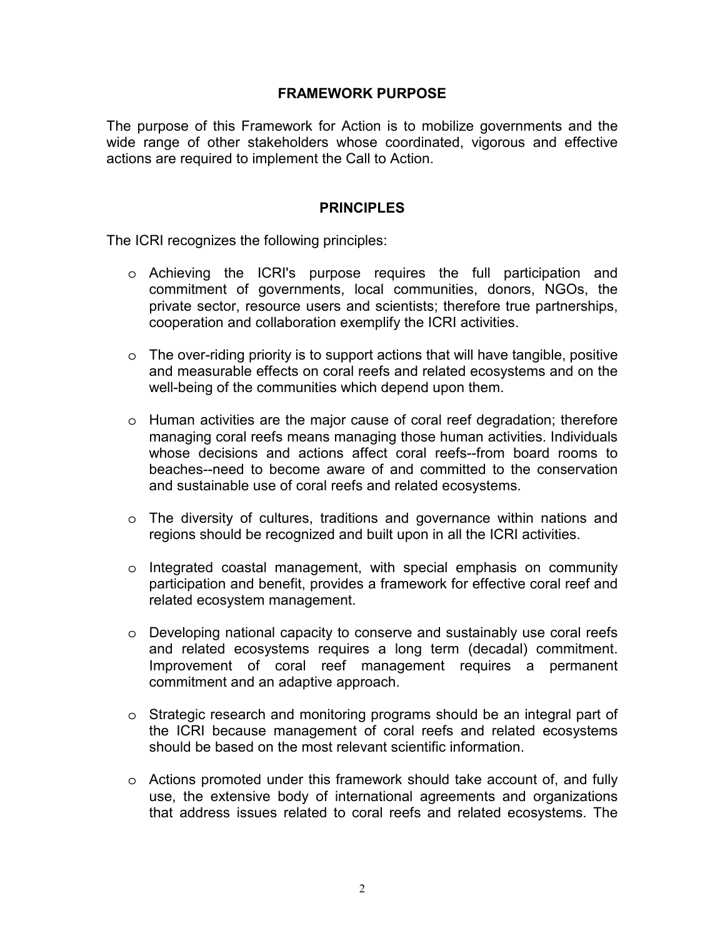# **FRAMEWORK PURPOSE**

The purpose of this Framework for Action is to mobilize governments and the wide range of other stakeholders whose coordinated, vigorous and effective actions are required to implement the Call to Action.

# **PRINCIPLES**

The ICRI recognizes the following principles:

- o Achieving the ICRI's purpose requires the full participation and commitment of governments, local communities, donors, NGOs, the private sector, resource users and scientists; therefore true partnerships, cooperation and collaboration exemplify the ICRI activities.
- $\circ$  The over-riding priority is to support actions that will have tangible, positive and measurable effects on coral reefs and related ecosystems and on the well-being of the communities which depend upon them.
- o Human activities are the major cause of coral reef degradation; therefore managing coral reefs means managing those human activities. Individuals whose decisions and actions affect coral reefs--from board rooms to beaches--need to become aware of and committed to the conservation and sustainable use of coral reefs and related ecosystems.
- $\circ$  The diversity of cultures, traditions and governance within nations and regions should be recognized and built upon in all the ICRI activities.
- o Integrated coastal management, with special emphasis on community participation and benefit, provides a framework for effective coral reef and related ecosystem management.
- o Developing national capacity to conserve and sustainably use coral reefs and related ecosystems requires a long term (decadal) commitment. Improvement of coral reef management requires a permanent commitment and an adaptive approach.
- $\circ$  Strategic research and monitoring programs should be an integral part of the ICRI because management of coral reefs and related ecosystems should be based on the most relevant scientific information.
- $\circ$  Actions promoted under this framework should take account of, and fully use, the extensive body of international agreements and organizations that address issues related to coral reefs and related ecosystems. The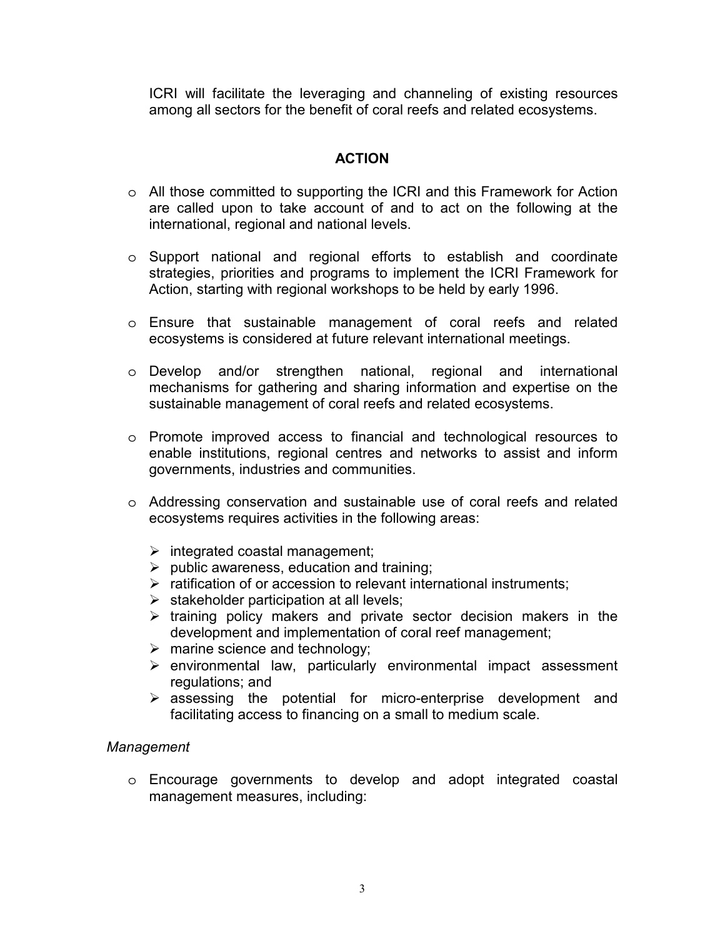ICRI will facilitate the leveraging and channeling of existing resources among all sectors for the benefit of coral reefs and related ecosystems.

# **ACTION**

- o All those committed to supporting the ICRI and this Framework for Action are called upon to take account of and to act on the following at the international, regional and national levels.
- o Support national and regional efforts to establish and coordinate strategies, priorities and programs to implement the ICRI Framework for Action, starting with regional workshops to be held by early 1996.
- o Ensure that sustainable management of coral reefs and related ecosystems is considered at future relevant international meetings.
- o Develop and/or strengthen national, regional and international mechanisms for gathering and sharing information and expertise on the sustainable management of coral reefs and related ecosystems.
- o Promote improved access to financial and technological resources to enable institutions, regional centres and networks to assist and inform governments, industries and communities.
- o Addressing conservation and sustainable use of coral reefs and related ecosystems requires activities in the following areas:
	- $\triangleright$  integrated coastal management;
	- $\triangleright$  public awareness, education and training;
	- $\triangleright$  ratification of or accession to relevant international instruments;
	- $\triangleright$  stakeholder participation at all levels;
	- $\triangleright$  training policy makers and private sector decision makers in the development and implementation of coral reef management;
	- $\triangleright$  marine science and technology;
	- $\triangleright$  environmental law, particularly environmental impact assessment regulations; and
	- $\triangleright$  assessing the potential for micro-enterprise development and facilitating access to financing on a small to medium scale.

### *Management*

o Encourage governments to develop and adopt integrated coastal management measures, including: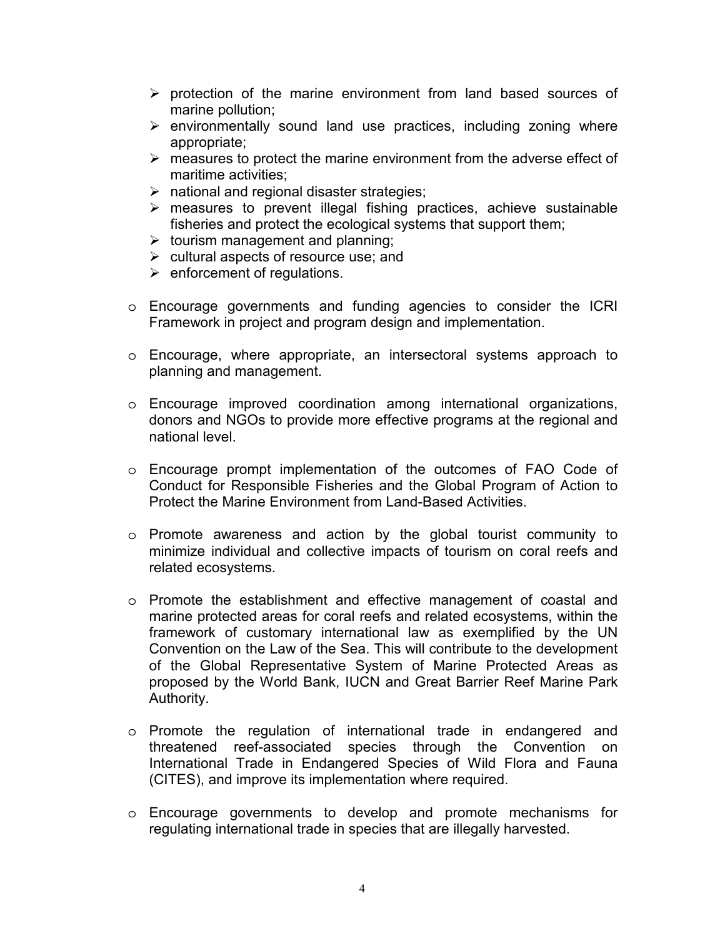- $\triangleright$  protection of the marine environment from land based sources of marine pollution;
- $\triangleright$  environmentally sound land use practices, including zoning where appropriate;
- $\triangleright$  measures to protect the marine environment from the adverse effect of maritime activities;
- $\triangleright$  national and regional disaster strategies;
- $\triangleright$  measures to prevent illegal fishing practices, achieve sustainable fisheries and protect the ecological systems that support them;
- $\triangleright$  tourism management and planning;
- $\triangleright$  cultural aspects of resource use; and
- $\triangleright$  enforcement of regulations.
- o Encourage governments and funding agencies to consider the ICRI Framework in project and program design and implementation.
- o Encourage, where appropriate, an intersectoral systems approach to planning and management.
- o Encourage improved coordination among international organizations, donors and NGOs to provide more effective programs at the regional and national level.
- o Encourage prompt implementation of the outcomes of FAO Code of Conduct for Responsible Fisheries and the Global Program of Action to Protect the Marine Environment from Land-Based Activities.
- o Promote awareness and action by the global tourist community to minimize individual and collective impacts of tourism on coral reefs and related ecosystems.
- o Promote the establishment and effective management of coastal and marine protected areas for coral reefs and related ecosystems, within the framework of customary international law as exemplified by the UN Convention on the Law of the Sea. This will contribute to the development of the Global Representative System of Marine Protected Areas as proposed by the World Bank, IUCN and Great Barrier Reef Marine Park Authority.
- o Promote the regulation of international trade in endangered and threatened reef-associated species through the Convention on International Trade in Endangered Species of Wild Flora and Fauna (CITES), and improve its implementation where required.
- o Encourage governments to develop and promote mechanisms for regulating international trade in species that are illegally harvested.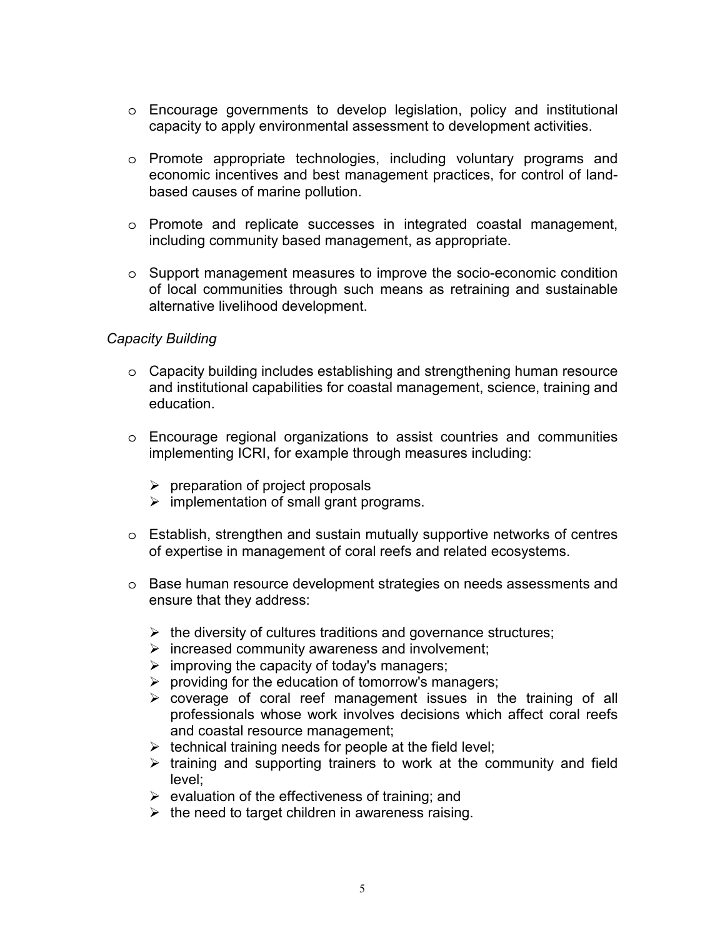- o Encourage governments to develop legislation, policy and institutional capacity to apply environmental assessment to development activities.
- o Promote appropriate technologies, including voluntary programs and economic incentives and best management practices, for control of landbased causes of marine pollution.
- o Promote and replicate successes in integrated coastal management, including community based management, as appropriate.
- o Support management measures to improve the socio-economic condition of local communities through such means as retraining and sustainable alternative livelihood development.

# *Capacity Building*

- o Capacity building includes establishing and strengthening human resource and institutional capabilities for coastal management, science, training and education.
- o Encourage regional organizations to assist countries and communities implementing ICRI, for example through measures including:
	- $\triangleright$  preparation of project proposals
	- $\triangleright$  implementation of small grant programs.
- o Establish, strengthen and sustain mutually supportive networks of centres of expertise in management of coral reefs and related ecosystems.
- o Base human resource development strategies on needs assessments and ensure that they address:
	- $\triangleright$  the diversity of cultures traditions and governance structures;
	- $\triangleright$  increased community awareness and involvement;
	- $\triangleright$  improving the capacity of today's managers;
	- $\triangleright$  providing for the education of tomorrow's managers;
	- $\triangleright$  coverage of coral reef management issues in the training of all professionals whose work involves decisions which affect coral reefs and coastal resource management;
	- $\triangleright$  technical training needs for people at the field level;
	- $\triangleright$  training and supporting trainers to work at the community and field level;
	- $\triangleright$  evaluation of the effectiveness of training; and
	- $\triangleright$  the need to target children in awareness raising.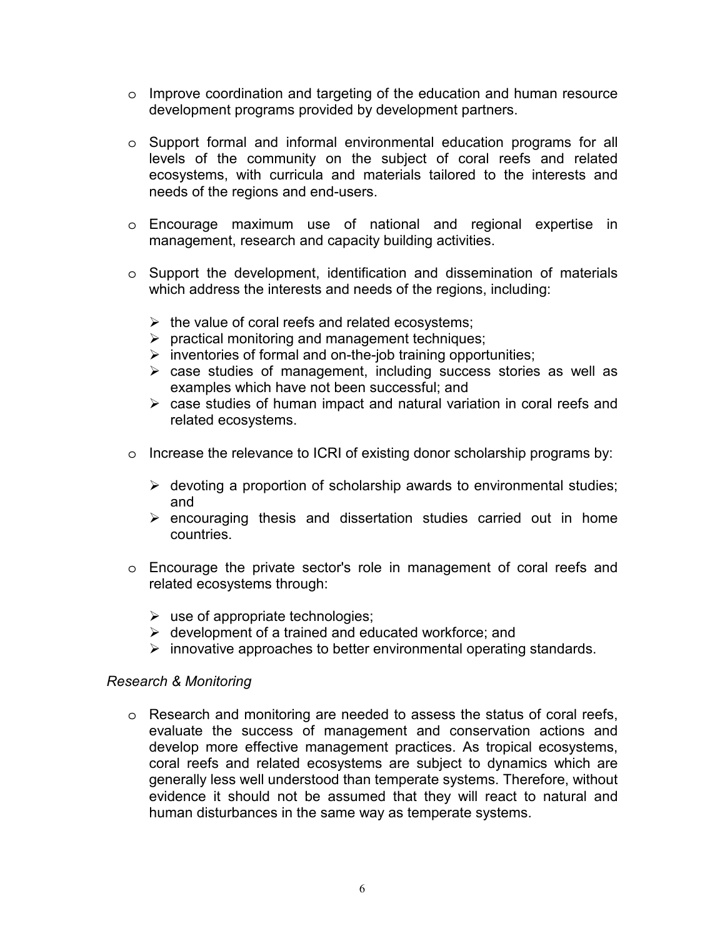- o Improve coordination and targeting of the education and human resource development programs provided by development partners.
- o Support formal and informal environmental education programs for all levels of the community on the subject of coral reefs and related ecosystems, with curricula and materials tailored to the interests and needs of the regions and end-users.
- o Encourage maximum use of national and regional expertise in management, research and capacity building activities.
- o Support the development, identification and dissemination of materials which address the interests and needs of the regions, including:
	- $\triangleright$  the value of coral reefs and related ecosystems;
	- $\triangleright$  practical monitoring and management techniques;
	- $\triangleright$  inventories of formal and on-the-job training opportunities;
	- $\triangleright$  case studies of management, including success stories as well as examples which have not been successful; and
	- $\triangleright$  case studies of human impact and natural variation in coral reefs and related ecosystems.
- o Increase the relevance to ICRI of existing donor scholarship programs by:
	- $\triangleright$  devoting a proportion of scholarship awards to environmental studies; and
	- $\triangleright$  encouraging thesis and dissertation studies carried out in home countries.
- o Encourage the private sector's role in management of coral reefs and related ecosystems through:
	- $\triangleright$  use of appropriate technologies;
	- $\triangleright$  development of a trained and educated workforce; and
	- $\triangleright$  innovative approaches to better environmental operating standards.

### *Research & Monitoring*

o Research and monitoring are needed to assess the status of coral reefs, evaluate the success of management and conservation actions and develop more effective management practices. As tropical ecosystems, coral reefs and related ecosystems are subject to dynamics which are generally less well understood than temperate systems. Therefore, without evidence it should not be assumed that they will react to natural and human disturbances in the same way as temperate systems.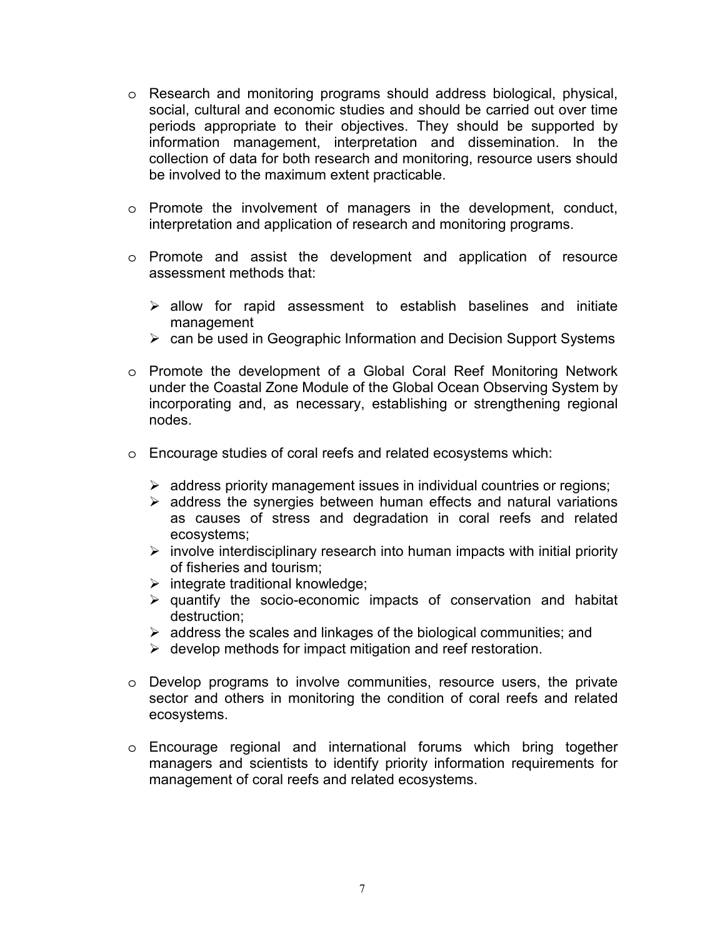- o Research and monitoring programs should address biological, physical, social, cultural and economic studies and should be carried out over time periods appropriate to their objectives. They should be supported by information management, interpretation and dissemination. In the collection of data for both research and monitoring, resource users should be involved to the maximum extent practicable.
- o Promote the involvement of managers in the development, conduct, interpretation and application of research and monitoring programs.
- o Promote and assist the development and application of resource assessment methods that:
	- $\triangleright$  allow for rapid assessment to establish baselines and initiate management
	- $\triangleright$  can be used in Geographic Information and Decision Support Systems
- o Promote the development of a Global Coral Reef Monitoring Network under the Coastal Zone Module of the Global Ocean Observing System by incorporating and, as necessary, establishing or strengthening regional nodes.
- o Encourage studies of coral reefs and related ecosystems which:
	- $\triangleright$  address priority management issues in individual countries or regions;
	- $\triangleright$  address the synergies between human effects and natural variations as causes of stress and degradation in coral reefs and related ecosystems;
	- $\triangleright$  involve interdisciplinary research into human impacts with initial priority of fisheries and tourism;
	- $\triangleright$  integrate traditional knowledge;
	- $\triangleright$  quantify the socio-economic impacts of conservation and habitat destruction;
	- $\triangleright$  address the scales and linkages of the biological communities; and
	- $\triangleright$  develop methods for impact mitigation and reef restoration.
- o Develop programs to involve communities, resource users, the private sector and others in monitoring the condition of coral reefs and related ecosystems.
- o Encourage regional and international forums which bring together managers and scientists to identify priority information requirements for management of coral reefs and related ecosystems.